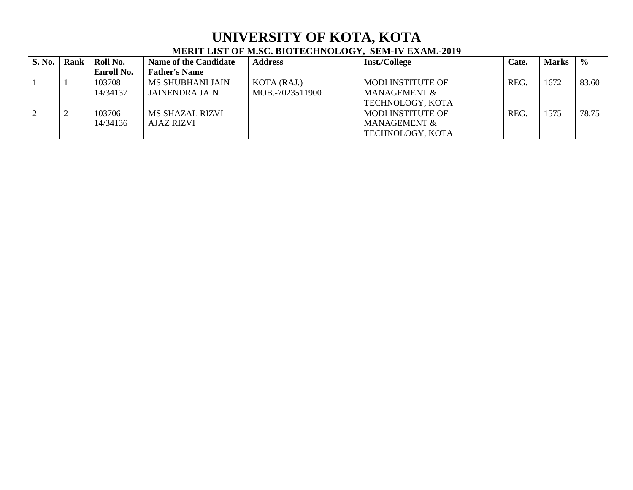## **UNIVERSITY OF KOTA, KOTA MERIT LIST OF M.SC. BIOTECHNOLOGY, SEM-IV EXAM.-2019**

| <b>S. No.</b> | Rank | Roll No.          | <b>Name of the Candidate</b> | <b>Address</b>  | <b>Inst./College</b>     | Cate. | <b>Marks</b> | $\frac{0}{0}$ |
|---------------|------|-------------------|------------------------------|-----------------|--------------------------|-------|--------------|---------------|
|               |      | <b>Enroll No.</b> | <b>Father's Name</b>         |                 |                          |       |              |               |
|               |      | 103708            | <b>MS SHUBHANI JAIN</b>      | KOTA (RAJ.)     | <b>MODI INSTITUTE OF</b> | REG.  | 1672         | 83.60         |
|               |      | 14/34137          | JAINENDRA JAIN               | MOB.-7023511900 | MANAGEMENT &             |       |              |               |
|               |      |                   |                              |                 | TECHNOLOGY, KOTA         |       |              |               |
|               |      | 103706            | MS SHAZAL RIZVI              |                 | <b>MODI INSTITUTE OF</b> | REG.  | 1575         | 78.75         |
|               |      | 14/34136          | <b>AJAZ RIZVI</b>            |                 | MANAGEMENT &             |       |              |               |
|               |      |                   |                              |                 | TECHNOLOGY, KOTA         |       |              |               |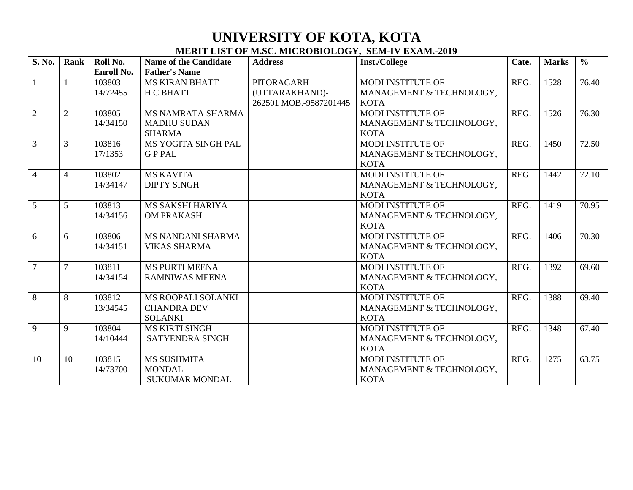## **UNIVERSITY OF KOTA, KOTA MERIT LIST OF M.SC. MICROBIOLOGY, SEM-IV EXAM.-2019**

| S. No.         | Rank           | Roll No.   | <b>Name of the Candidate</b> | <b>Address</b>         | Inst./College            | Cate. | <b>Marks</b> | $\frac{0}{0}$ |
|----------------|----------------|------------|------------------------------|------------------------|--------------------------|-------|--------------|---------------|
|                |                | Enroll No. | <b>Father's Name</b>         |                        |                          |       |              |               |
| $\mathbf{1}$   |                | 103803     | <b>MS KIRAN BHATT</b>        | <b>PITORAGARH</b>      | <b>MODI INSTITUTE OF</b> | REG.  | 1528         | 76.40         |
|                |                | 14/72455   | <b>H C BHATT</b>             | (UTTARAKHAND)-         | MANAGEMENT & TECHNOLOGY, |       |              |               |
|                |                |            |                              | 262501 MOB.-9587201445 | <b>KOTA</b>              |       |              |               |
| $\overline{2}$ | $\overline{2}$ | 103805     | MS NAMRATA SHARMA            |                        | <b>MODI INSTITUTE OF</b> | REG.  | 1526         | 76.30         |
|                |                | 14/34150   | <b>MADHU SUDAN</b>           |                        | MANAGEMENT & TECHNOLOGY, |       |              |               |
|                |                |            | <b>SHARMA</b>                |                        | <b>KOTA</b>              |       |              |               |
| $\overline{3}$ | 3              | 103816     | MS YOGITA SINGH PAL          |                        | <b>MODI INSTITUTE OF</b> | REG.  | 1450         | 72.50         |
|                |                | 17/1353    | <b>GPPAL</b>                 |                        | MANAGEMENT & TECHNOLOGY, |       |              |               |
|                |                |            |                              |                        | <b>KOTA</b>              |       |              |               |
| $\overline{4}$ | $\overline{4}$ | 103802     | <b>MS KAVITA</b>             |                        | <b>MODI INSTITUTE OF</b> | REG.  | 1442         | 72.10         |
|                |                | 14/34147   | <b>DIPTY SINGH</b>           |                        | MANAGEMENT & TECHNOLOGY, |       |              |               |
|                |                |            |                              |                        | <b>KOTA</b>              |       |              |               |
| $\overline{5}$ | 5              | 103813     | MS SAKSHI HARIYA             |                        | <b>MODI INSTITUTE OF</b> | REG.  | 1419         | 70.95         |
|                |                | 14/34156   | <b>OM PRAKASH</b>            |                        | MANAGEMENT & TECHNOLOGY, |       |              |               |
|                |                |            |                              |                        | <b>KOTA</b>              |       |              |               |
| 6              | 6              | 103806     | <b>MS NANDANI SHARMA</b>     |                        | MODI INSTITUTE OF        | REG.  | 1406         | 70.30         |
|                |                | 14/34151   | <b>VIKAS SHARMA</b>          |                        | MANAGEMENT & TECHNOLOGY, |       |              |               |
|                |                |            |                              |                        | <b>KOTA</b>              |       |              |               |
| $\overline{7}$ | $\overline{7}$ | 103811     | <b>MS PURTI MEENA</b>        |                        | MODI INSTITUTE OF        | REG.  | 1392         | 69.60         |
|                |                | 14/34154   | <b>RAMNIWAS MEENA</b>        |                        | MANAGEMENT & TECHNOLOGY, |       |              |               |
|                |                |            |                              |                        | <b>KOTA</b>              |       |              |               |
| 8              | 8              | 103812     | MS ROOPALI SOLANKI           |                        | <b>MODI INSTITUTE OF</b> | REG.  | 1388         | 69.40         |
|                |                | 13/34545   | <b>CHANDRA DEV</b>           |                        | MANAGEMENT & TECHNOLOGY, |       |              |               |
|                |                |            | <b>SOLANKI</b>               |                        | <b>KOTA</b>              |       |              |               |
| $\overline{9}$ | 9              | 103804     | <b>MS KIRTI SINGH</b>        |                        | <b>MODI INSTITUTE OF</b> | REG.  | 1348         | 67.40         |
|                |                | 14/10444   | <b>SATYENDRA SINGH</b>       |                        | MANAGEMENT & TECHNOLOGY, |       |              |               |
|                |                |            |                              |                        | <b>KOTA</b>              |       |              |               |
| 10             | 10             | 103815     | <b>MS SUSHMITA</b>           |                        | MODI INSTITUTE OF        | REG.  | 1275         | 63.75         |
|                |                | 14/73700   | <b>MONDAL</b>                |                        | MANAGEMENT & TECHNOLOGY, |       |              |               |
|                |                |            | <b>SUKUMAR MONDAL</b>        |                        | <b>KOTA</b>              |       |              |               |